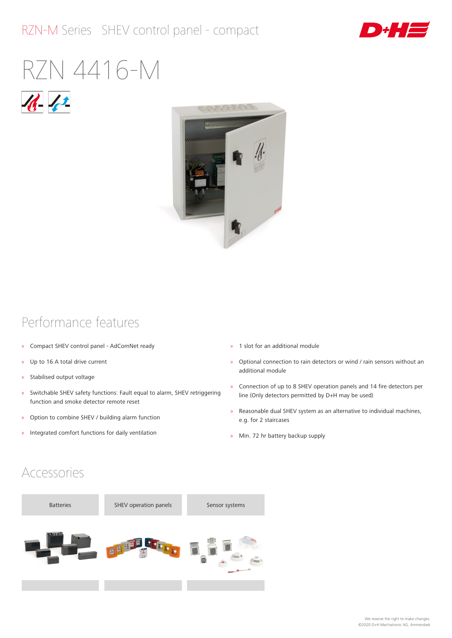#### RZN-M Series SHEV control panel - compact



# RZN 4416-M





### Performance features

- » Compact SHEV control panel AdComNet ready
- » Up to 16 A total drive current
- » Stabilised output voltage
- » Switchable SHEV safety functions: Fault equal to alarm, SHEV retriggering function and smoke detector remote reset
- » Option to combine SHEV / building alarm function
- » Integrated comfort functions for daily ventilation
- » 1 slot for an additional module
- » Optional connection to rain detectors or wind / rain sensors without an additional module
- » Connection of up to 8 SHEV operation panels and 14 fire detectors per line (Only detectors permitted by D+H may be used)
- » Reasonable dual SHEV system as an alternative to individual machines, e.g. for 2 staircases
- » Min. 72 hr battery backup supply

#### Accessories